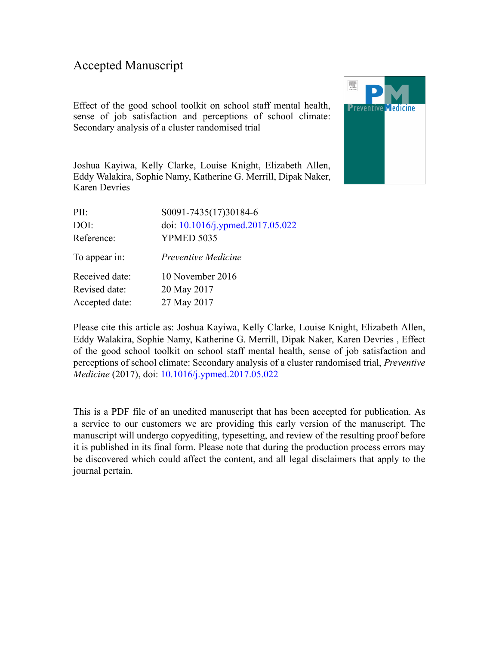### Accepted Manuscript

Effect of the good school toolkit on school staff mental health, sense of job satisfaction and perceptions of school climate: Secondary analysis of a cluster randomised trial



Joshua Kayiwa, Kelly Clarke, Louise Knight, Elizabeth Allen, Eddy Walakira, Sophie Namy, Katherine G. Merrill, Dipak Naker, Karen Devries

| PII:           | S0091-7435(17)30184-6            |
|----------------|----------------------------------|
| DOI:           | doi: 10.1016/j.ypmed.2017.05.022 |
| Reference:     | <b>YPMED 5035</b>                |
| To appear in:  | Preventive Medicine              |
| Received date: | 10 November 2016                 |
| Revised date:  | 20 May 2017                      |
| Accepted date: | 27 May 2017                      |
|                |                                  |

Please cite this article as: Joshua Kayiwa, Kelly Clarke, Louise Knight, Elizabeth Allen, Eddy Walakira, Sophie Namy, Katherine G. Merrill, Dipak Naker, Karen Devries , Effect of the good school toolkit on school staff mental health, sense of job satisfaction and perceptions of school climate: Secondary analysis of a cluster randomised trial, *Preventive Medicine* (2017), doi: [10.1016/j.ypmed.2017.05.022](http://dx.doi.org/10.1016/j.ypmed.2017.05.022)

This is a PDF file of an unedited manuscript that has been accepted for publication. As a service to our customers we are providing this early version of the manuscript. The manuscript will undergo copyediting, typesetting, and review of the resulting proof before it is published in its final form. Please note that during the production process errors may be discovered which could affect the content, and all legal disclaimers that apply to the journal pertain.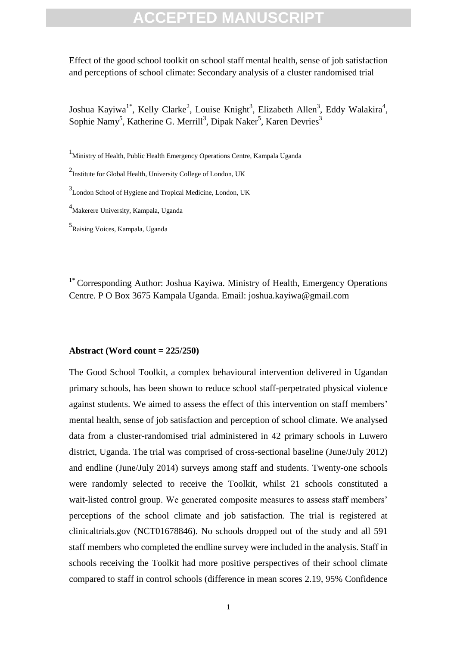Effect of the good school toolkit on school staff mental health, sense of job satisfaction and perceptions of school climate: Secondary analysis of a cluster randomised trial

Joshua Kayiwa<sup>1\*</sup>, Kelly Clarke<sup>2</sup>, Louise Knight<sup>3</sup>, Elizabeth Allen<sup>3</sup>, Eddy Walakira<sup>4</sup>, Sophie Namy<sup>5</sup>, Katherine G. Merrill<sup>3</sup>, Dipak Naker<sup>5</sup>, Karen Devries<sup>3</sup>

<sup>1</sup>Ministry of Health, Public Health Emergency Operations Centre, Kampala Uganda

<sup>2</sup> Institute for Global Health, University College of London, UK

<sup>3</sup> London School of Hygiene and Tropical Medicine, London, UK

<sup>4</sup>Makerere University, Kampala, Uganda

5 Raising Voices, Kampala, Uganda

**1\*** Corresponding Author: Joshua Kayiwa. Ministry of Health, Emergency Operations Centre. P O Box 3675 Kampala Uganda. Email: joshua.kayiwa@gmail.com

#### **Abstract (Word count = 225/250)**

Framit, Funct Fealur Enlegency operations Centre, Kampara Ogania<br>
To Global Health, University College of London, UK<br>
University, Kampala, Uganda<br>
Disersity, Kampala, Uganda<br>
Disersity, Kampala, Uganda<br>
Disersity, Kampala, The Good School Toolkit, a complex behavioural intervention delivered in Ugandan primary schools, has been shown to reduce school staff-perpetrated physical violence against students. We aimed to assess the effect of this intervention on staff members' mental health, sense of job satisfaction and perception of school climate. We analysed data from a cluster-randomised trial administered in 42 primary schools in Luwero district, Uganda. The trial was comprised of cross-sectional baseline (June/July 2012) and endline (June/July 2014) surveys among staff and students. Twenty-one schools were randomly selected to receive the Toolkit, whilst 21 schools constituted a wait-listed control group. We generated composite measures to assess staff members' perceptions of the school climate and job satisfaction. The trial is registered at clinicaltrials.gov (NCT01678846). No schools dropped out of the study and all 591 staff members who completed the endline survey were included in the analysis. Staff in schools receiving the Toolkit had more positive perspectives of their school climate compared to staff in control schools (difference in mean scores 2.19, 95% Confidence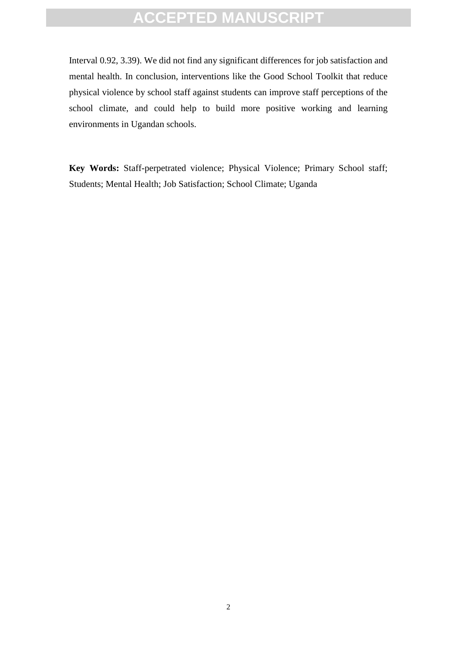Interval 0.92, 3.39). We did not find any significant differences for job satisfaction and mental health. In conclusion, interventions like the Good School Toolkit that reduce physical violence by school staff against students can improve staff perceptions of the school climate, and could help to build more positive working and learning environments in Ugandan schools.

Frances: Staff-perpetrated violence; Physical Violence; Primary Sonstant Health; Job Satisfaction; School Climate; Uganda<br>Nental Health; Job Satisfaction; School Climate; Uganda<br> **Key Words:** Staff-perpetrated violence; Physical Violence; Primary School staff; Students; Mental Health; Job Satisfaction; School Climate; Uganda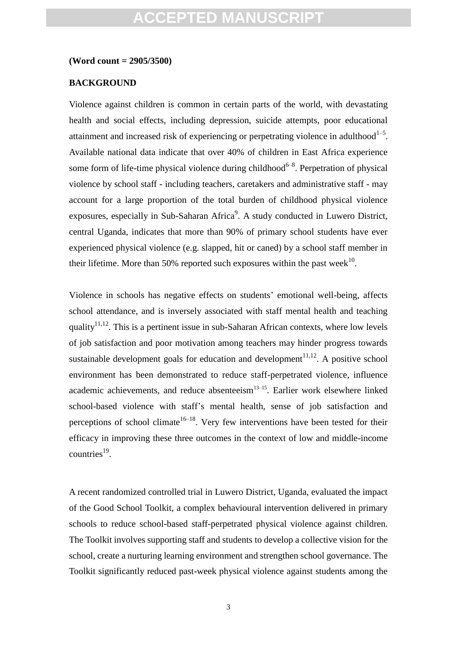#### **(Word count = 2905/3500)**

#### **BACKGROUND**

Violence against children is common in certain parts of the world, with devastating health and social effects, including depression, suicide attempts, poor educational attainment and increased risk of experiencing or perpetrating violence in adulthood $1-5$ . Available national data indicate that over 40% of children in East Africa experience some form of life-time physical violence during childhood<sup>6-8</sup>. Perpetration of physical violence by school staff - including teachers, caretakers and administrative staff - may account for a large proportion of the total burden of childhood physical violence exposures, especially in Sub-Saharan Africa $9$ . A study conducted in Luwero District, central Uganda, indicates that more than 90% of primary school students have ever experienced physical violence (e.g. slapped, hit or caned) by a school staff member in their lifetime. More than 50% reported such exposures within the past week<sup>10</sup>.

m of life-time physical violence during childhood<sup>6-8</sup>. Perpetration<br>by school staff - including teachers, caretakers and administrative<br>for a large proportion of the total burden of childhood physic<br>s, especially in Sub-Violence in schools has negative effects on students' emotional well-being, affects school attendance, and is inversely associated with staff mental health and teaching quality<sup>11,12</sup>. This is a pertinent issue in sub-Saharan African contexts, where low levels of job satisfaction and poor motivation among teachers may hinder progress towards sustainable development goals for education and development<sup>11,12</sup>. A positive school environment has been demonstrated to reduce staff-perpetrated violence, influence academic achievements, and reduce absenteeism $13-15$ . Earlier work elsewhere linked school-based violence with staff's mental health, sense of job satisfaction and perceptions of school climate<sup>16–18</sup>. Very few interventions have been tested for their efficacy in improving these three outcomes in the context of low and middle-income  $countries<sup>19</sup>$ .

A recent randomized controlled trial in Luwero District, Uganda, evaluated the impact of the Good School Toolkit, a complex behavioural intervention delivered in primary schools to reduce school-based staff-perpetrated physical violence against children. The Toolkit involves supporting staff and students to develop a collective vision for the school, create a nurturing learning environment and strengthen school governance. The Toolkit significantly reduced past-week physical violence against students among the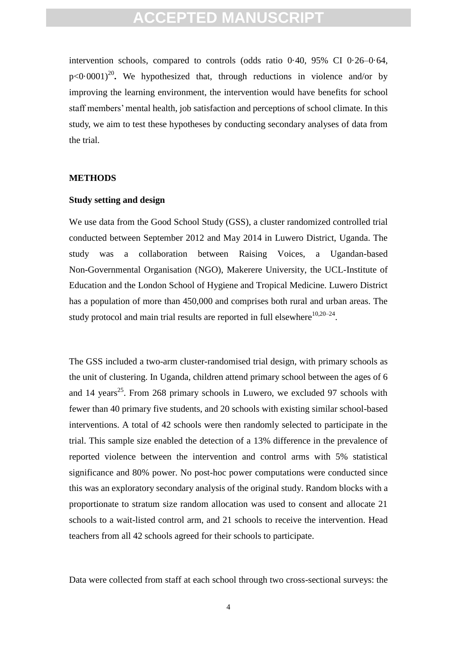intervention schools, compared to controls (odds ratio 0·40, 95% CI 0·26–0·64,  $p<0.0001$ <sup>20</sup>. We hypothesized that, through reductions in violence and/or by improving the learning environment, the intervention would have benefits for school staff members' mental health, job satisfaction and perceptions of school climate. In this study, we aim to test these hypotheses by conducting secondary analyses of data from the trial.

#### **METHODS**

#### **Study setting and design**

We use data from the Good School Study (GSS), a cluster randomized controlled trial conducted between September 2012 and May 2014 in Luwero District, Uganda. The study was a collaboration between Raising Voices, a Ugandan-based Non-Governmental Organisation (NGO), Makerere University, the UCL-Institute of Education and the London School of Hygiene and Tropical Medicine. Luwero District has a population of more than 450,000 and comprises both rural and urban areas. The study protocol and main trial results are reported in full elsewhere $^{10,20-24}$ .

**Example 18 and design**<br>
Atta from the Good School Study (GSS), a cluster randomized cond<br>
abteveen September 2012 and May 2014 in Luwero District, U<br>
was a collaboration between Raising Voices, a Uga<br>
vernmental Organisat The GSS included a two-arm cluster-randomised trial design, with primary schools as the unit of clustering. In Uganda, children attend primary school between the ages of 6 and 14 years<sup>25</sup>. From 268 primary schools in Luwero, we excluded 97 schools with fewer than 40 primary five students, and 20 schools with existing similar school-based interventions. A total of 42 schools were then randomly selected to participate in the trial. This sample size enabled the detection of a 13% difference in the prevalence of reported violence between the intervention and control arms with 5% statistical significance and 80% power. No post-hoc power computations were conducted since this was an exploratory secondary analysis of the original study. Random blocks with a proportionate to stratum size random allocation was used to consent and allocate 21 schools to a wait-listed control arm, and 21 schools to receive the intervention. Head teachers from all 42 schools agreed for their schools to participate.

Data were collected from staff at each school through two cross-sectional surveys: the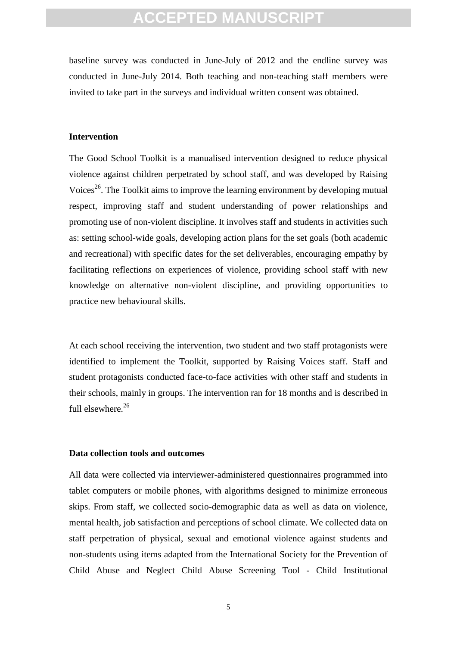baseline survey was conducted in June-July of 2012 and the endline survey was conducted in June-July 2014. Both teaching and non-teaching staff members were invited to take part in the surveys and individual written consent was obtained.

#### **Intervention**

of School Toolkit is a manualised intervention designed to redu<br>against children perpetrated by school staff, and was developed<br>The Toolkit aims to improve the learning environment by develop<br>improving staff and student un The Good School Toolkit is a manualised intervention designed to reduce physical violence against children perpetrated by school staff, and was developed by Raising Voices<sup>26</sup>. The Toolkit aims to improve the learning environment by developing mutual respect, improving staff and student understanding of power relationships and promoting use of non-violent discipline. It involves staff and students in activities such as: setting school-wide goals, developing action plans for the set goals (both academic and recreational) with specific dates for the set deliverables, encouraging empathy by facilitating reflections on experiences of violence, providing school staff with new knowledge on alternative non-violent discipline, and providing opportunities to practice new behavioural skills.

At each school receiving the intervention, two student and two staff protagonists were identified to implement the Toolkit, supported by Raising Voices staff. Staff and student protagonists conducted face-to-face activities with other staff and students in their schools, mainly in groups. The intervention ran for 18 months and is described in full elsewhere.<sup>26</sup>

#### **Data collection tools and outcomes**

All data were collected via interviewer-administered questionnaires programmed into tablet computers or mobile phones, with algorithms designed to minimize erroneous skips. From staff, we collected socio-demographic data as well as data on violence, mental health, job satisfaction and perceptions of school climate. We collected data on staff perpetration of physical, sexual and emotional violence against students and non-students using items adapted from the International Society for the Prevention of Child Abuse and Neglect Child Abuse Screening Tool - Child Institutional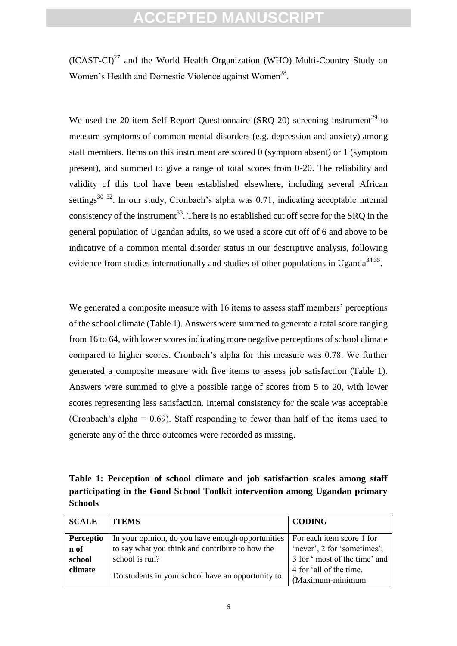$(ICAST-CI)^{27}$  and the World Health Organization (WHO) Multi-Country Study on Women's Health and Domestic Violence against Women<sup>28</sup>.

We used the 20-item Self-Report Questionnaire (SRO-20) screening instrument<sup>29</sup> to measure symptoms of common mental disorders (e.g. depression and anxiety) among staff members. Items on this instrument are scored 0 (symptom absent) or 1 (symptom present), and summed to give a range of total scores from 0-20. The reliability and validity of this tool have been established elsewhere, including several African settings<sup>30–32</sup>. In our study, Cronbach's alpha was  $0.71$ , indicating acceptable internal consistency of the instrument<sup>33</sup>. There is no established cut off score for the SRQ in the general population of Ugandan adults, so we used a score cut off of 6 and above to be indicative of a common mental disorder status in our descriptive analysis, following evidence from studies internationally and studies of other populations in Uganda<sup>34,35</sup>.

and summed to give a range of total scores from 0-20. The rel of this tool have been established elsewhere, including severally the morify start of the instrument<sup>33</sup>. There is no established cut off score for the oppulat We generated a composite measure with 16 items to assess staff members' perceptions of the school climate (Table 1). Answers were summed to generate a total score ranging from 16 to 64, with lower scores indicating more negative perceptions of school climate compared to higher scores. Cronbach's alpha for this measure was 0.78. We further generated a composite measure with five items to assess job satisfaction (Table 1). Answers were summed to give a possible range of scores from 5 to 20, with lower scores representing less satisfaction. Internal consistency for the scale was acceptable (Cronbach's alpha = 0.69). Staff responding to fewer than half of the items used to generate any of the three outcomes were recorded as missing.

**Table 1: Perception of school climate and job satisfaction scales among staff participating in the Good School Toolkit intervention among Ugandan primary Schools**

| <b>SCALE</b> | <b>ITEMS</b>                                      | <b>CODING</b>                |
|--------------|---------------------------------------------------|------------------------------|
| Perceptio    | In your opinion, do you have enough opportunities | For each item score 1 for    |
| n of         | to say what you think and contribute to how the   | 'never', 2 for 'sometimes',  |
| school       | school is run?                                    | 3 for 'most of the time' and |
| climate      |                                                   | 4 for 'all of the time.      |
|              | Do students in your school have an opportunity to | (Maximum-minimum             |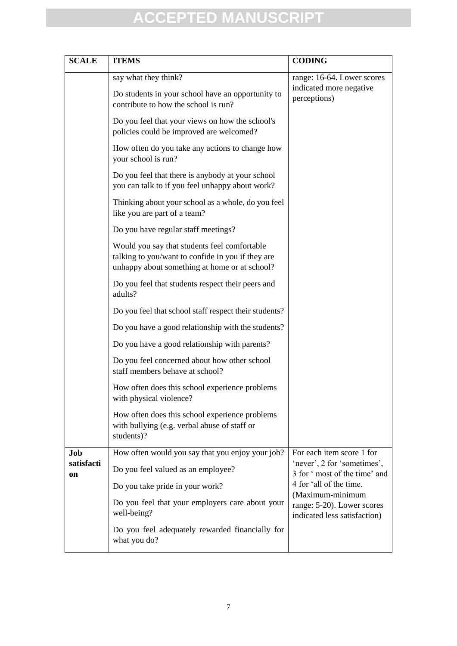| <b>SCALE</b>     | <b>ITEMS</b>                                                                                                                                       | <b>CODING</b>                                                                  |
|------------------|----------------------------------------------------------------------------------------------------------------------------------------------------|--------------------------------------------------------------------------------|
|                  | say what they think?<br>Do students in your school have an opportunity to<br>contribute to how the school is run?                                  | range: 16-64. Lower scores<br>indicated more negative<br>perceptions)          |
|                  | Do you feel that your views on how the school's<br>policies could be improved are welcomed?                                                        |                                                                                |
|                  | How often do you take any actions to change how<br>your school is run?                                                                             |                                                                                |
|                  | Do you feel that there is anybody at your school<br>you can talk to if you feel unhappy about work?                                                |                                                                                |
|                  | Thinking about your school as a whole, do you feel<br>like you are part of a team?                                                                 |                                                                                |
|                  | Do you have regular staff meetings?                                                                                                                |                                                                                |
|                  | Would you say that students feel comfortable<br>talking to you/want to confide in you if they are<br>unhappy about something at home or at school? |                                                                                |
|                  | Do you feel that students respect their peers and<br>adults?                                                                                       |                                                                                |
|                  | Do you feel that school staff respect their students?                                                                                              |                                                                                |
|                  | Do you have a good relationship with the students?                                                                                                 |                                                                                |
|                  | Do you have a good relationship with parents?                                                                                                      |                                                                                |
|                  | Do you feel concerned about how other school<br>staff members behave at school?                                                                    |                                                                                |
|                  | How often does this school experience problems<br>with physical violence?                                                                          |                                                                                |
|                  | How often does this school experience problems<br>with bullying (e.g. verbal abuse of staff or<br>students)?                                       |                                                                                |
| Job              | How often would you say that you enjoy your job?                                                                                                   | For each item score 1 for                                                      |
| satisfacti<br>on | Do you feel valued as an employee?                                                                                                                 | 'never', 2 for 'sometimes',<br>3 for ' most of the time' and                   |
|                  | Do you take pride in your work?                                                                                                                    | 4 for 'all of the time.                                                        |
|                  | Do you feel that your employers care about your<br>well-being?                                                                                     | (Maximum-minimum<br>range: 5-20). Lower scores<br>indicated less satisfaction) |
|                  | Do you feel adequately rewarded financially for<br>what you do?                                                                                    |                                                                                |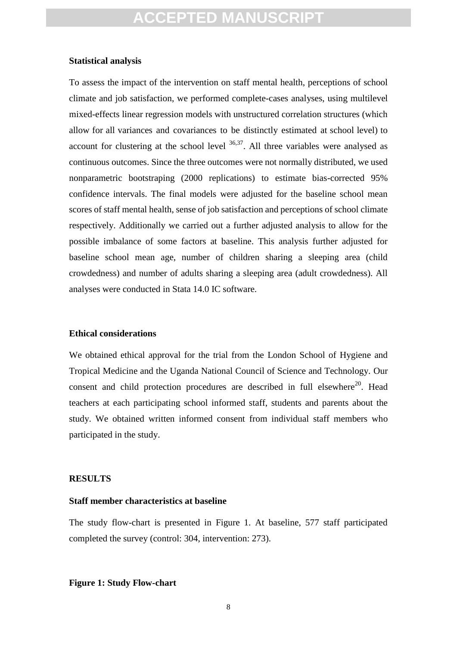#### **Statistical analysis**

us outcomes. Since the three outcomes were not normally distribute<br>metric bootstraping (2000 replications) to estimate bias-correce intervals. The final models were adjusted for the baseline seconce<br>e intervals. The final To assess the impact of the intervention on staff mental health, perceptions of school climate and job satisfaction, we performed complete-cases analyses, using multilevel mixed-effects linear regression models with unstructured correlation structures (which allow for all variances and covariances to be distinctly estimated at school level) to account for clustering at the school level  $36,37$ . All three variables were analysed as continuous outcomes. Since the three outcomes were not normally distributed, we used nonparametric bootstraping (2000 replications) to estimate bias-corrected 95% confidence intervals. The final models were adjusted for the baseline school mean scores of staff mental health, sense of job satisfaction and perceptions of school climate respectively. Additionally we carried out a further adjusted analysis to allow for the possible imbalance of some factors at baseline. This analysis further adjusted for baseline school mean age, number of children sharing a sleeping area (child crowdedness) and number of adults sharing a sleeping area (adult crowdedness). All analyses were conducted in Stata 14.0 IC software.

#### **Ethical considerations**

We obtained ethical approval for the trial from the London School of Hygiene and Tropical Medicine and the Uganda National Council of Science and Technology. Our consent and child protection procedures are described in full elsewhere<sup>20</sup>. Head teachers at each participating school informed staff, students and parents about the study. We obtained written informed consent from individual staff members who participated in the study.

#### **RESULTS**

#### **Staff member characteristics at baseline**

The study flow-chart is presented in Figure 1. At baseline, 577 staff participated completed the survey (control: 304, intervention: 273).

#### **Figure 1: Study Flow-chart**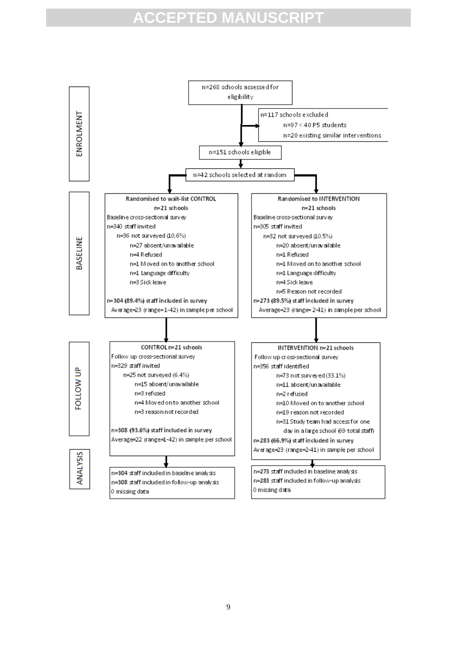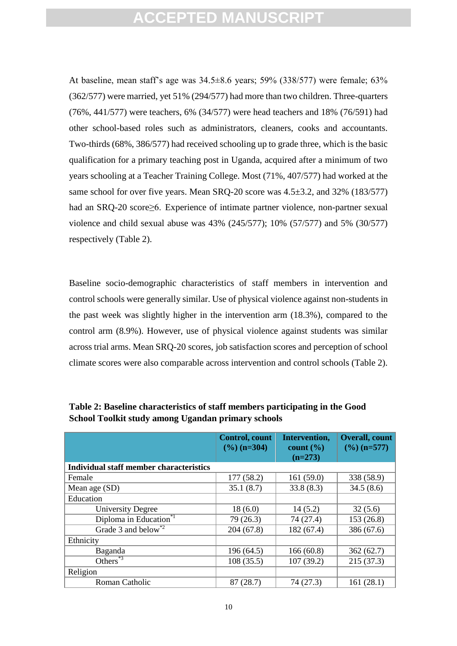At baseline, mean staff's age was 34.5±8.6 years; 59% (338/577) were female; 63% (362/577) were married, yet 51% (294/577) had more than two children. Three-quarters (76%, 441/577) were teachers, 6% (34/577) were head teachers and 18% (76/591) had other school-based roles such as administrators, cleaners, cooks and accountants. Two-thirds (68%, 386/577) had received schooling up to grade three, which is the basic qualification for a primary teaching post in Uganda, acquired after a minimum of two years schooling at a Teacher Training College. Most (71%, 407/577) had worked at the same school for over five years. Mean SRQ-20 score was  $4.5\pm3.2$ , and  $32\%$  (183/577) had an SRQ-20 score≥6. Experience of intimate partner violence, non-partner sexual violence and child sexual abuse was 43% (245/577); 10% (57/577) and 5% (30/577) respectively (Table 2).

tion for a primary teaching post in Uganda, acquired after a minin<br>nooling at a Teacher Training College. Most (71%, 407/577) had wool for over five years. Mean SRQ-20 score was 4.5±3.2, and 32<br>RQ-20 score≥6. Experience o Baseline socio-demographic characteristics of staff members in intervention and control schools were generally similar. Use of physical violence against non-students in the past week was slightly higher in the intervention arm (18.3%), compared to the control arm (8.9%). However, use of physical violence against students was similar across trial arms. Mean SRQ-20 scores, job satisfaction scores and perception of school climate scores were also comparable across intervention and control schools (Table 2).

|                                                | <b>Control</b> , count<br>$(\frac{9}{6})$ (n=304) | Intervention,<br>count $(\% )$<br>$(n=273)$ | <b>Overall, count</b><br>$(\frac{9}{6})$ (n=577) |
|------------------------------------------------|---------------------------------------------------|---------------------------------------------|--------------------------------------------------|
| <b>Individual staff member characteristics</b> |                                                   |                                             |                                                  |
| Female                                         | 177 (58.2)                                        | 161(59.0)                                   | 338 (58.9)                                       |
| Mean age (SD)                                  | 35.1(8.7)                                         | 33.8(8.3)                                   | 34.5(8.6)                                        |
| Education                                      |                                                   |                                             |                                                  |
| <b>University Degree</b>                       | 18(6.0)                                           | 14(5.2)                                     | 32(5.6)                                          |
| Diploma in Education <sup>*1</sup>             | 79 (26.3)                                         | 74 (27.4)                                   | 153(26.8)                                        |
| Grade 3 and below <sup>*2</sup>                | 204(67.8)                                         | 182 (67.4)                                  | 386 (67.6)                                       |
| Ethnicity                                      |                                                   |                                             |                                                  |
| Baganda                                        | 196(64.5)                                         | 166(60.8)                                   | 362(62.7)                                        |
| Others $*3$                                    | 108(35.5)                                         | 107(39.2)                                   | 215(37.3)                                        |
| Religion                                       |                                                   |                                             |                                                  |
| Roman Catholic                                 | 87(28.7)                                          | 74 (27.3)                                   | 161(28.1)                                        |

**Table 2: Baseline characteristics of staff members participating in the Good School Toolkit study among Ugandan primary schools**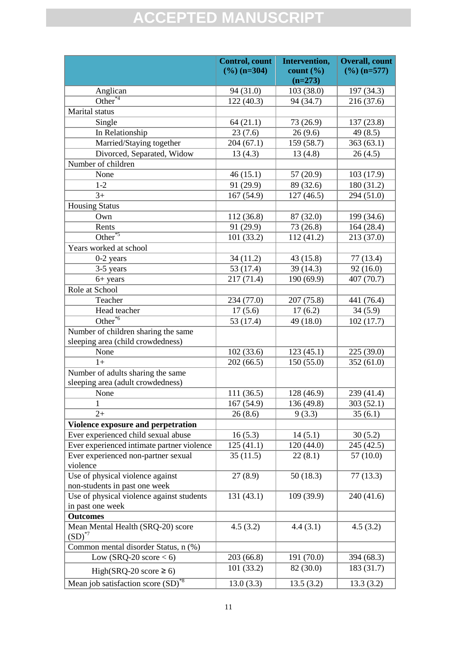|                                                | <b>Control</b> , count  | Intervention,  | <b>Overall</b> , count  |
|------------------------------------------------|-------------------------|----------------|-------------------------|
|                                                | $(\frac{6}{6})$ (n=304) | $count($ % $)$ | $(\frac{9}{6})$ (n=577) |
|                                                |                         | $(n=273)$      |                         |
| Anglican                                       | 94 (31.0)               | 103(38.0)      | 197 (34.3)              |
| $\overline{\text{Other}^{*4}}$                 | 122(40.3)               | 94 (34.7)      | 216 (37.6)              |
| Marital status                                 |                         |                |                         |
| Single                                         | 64(21.1)                | 73 (26.9)      | 137 (23.8)              |
| In Relationship                                | 23(7.6)                 | 26(9.6)        | 49 (8.5)                |
| Married/Staying together                       | 204 (67.1)              | 159 (58.7)     | 363(63.1)               |
| Divorced, Separated, Widow                     | 13(4.3)                 | 13(4.8)        | 26(4.5)                 |
| Number of children                             |                         |                |                         |
| None                                           | 46(15.1)                | 57 (20.9)      | 103 (17.9)              |
| $1-2$                                          | 91 (29.9)               | 89 (32.6)      | 180 (31.2)              |
| $3+$                                           | 167 (54.9)              | 127(46.5)      | 294 (51.0)              |
| <b>Housing Status</b>                          |                         |                |                         |
| Own                                            | 112 (36.8)              | 87 (32.0)      | 199 (34.6)              |
| Rents                                          | 91 (29.9)               | 73 (26.8)      | 164 (28.4)              |
| Other <sup>*5</sup>                            | 101(33.2)               | 112(41.2)      | 213 (37.0)              |
| Years worked at school                         |                         |                |                         |
| $0-2$ years                                    | 34 (11.2)               | 43 (15.8)      | 77 (13.4)               |
| 3-5 years                                      | 53 (17.4)               | 39 (14.3)      | 92(16.0)                |
| $6+ years$                                     | 217 (71.4)              | 190 (69.9)     | 407 (70.7)              |
| Role at School                                 |                         |                |                         |
| Teacher                                        | 234 (77.0)              | 207 (75.8)     | 441 (76.4)              |
| Head teacher                                   | 17(5.6)                 | 17(6.2)        | 34(5.9)                 |
| $\overline{\text{Other}}^{*6}$                 | 53 (17.4)               | 49 (18.0)      | 102(17.7)               |
| Number of children sharing the same            |                         |                |                         |
| sleeping area (child crowdedness)              |                         |                |                         |
| None                                           | 102(33.6)               | 123(45.1)      | 225 (39.0)              |
| $1+$                                           | 202(66.5)               | 150(55.0)      | 352(61.0)               |
| Number of adults sharing the same              |                         |                |                         |
| sleeping area (adult crowdedness)              |                         |                |                         |
| None                                           | 111(36.5)               | 128 (46.9)     | 239 (41.4)              |
| 1                                              | 167(54.9)               | 136 (49.8)     | 303(52.1)               |
| $2+$                                           | 26(8.6)                 | 9(3.3)         | 35(6.1)                 |
| Violence exposure and perpetration             |                         |                |                         |
| Ever experienced child sexual abuse            | 16(5.3)                 | 14(5.1)        | 30(5.2)                 |
| Ever experienced intimate partner violence     | 125(41.1)               | 120(44.0)      | 245 (42.5)              |
| Ever experienced non-partner sexual            | 35(11.5)                | 22(8.1)        | 57(10.0)                |
| violence                                       |                         |                |                         |
| Use of physical violence against               | 27(8.9)                 | 50 (18.3)      | 77(13.3)                |
| non-students in past one week                  |                         |                |                         |
| Use of physical violence against students      | 131(43.1)               | 109(39.9)      | 240 (41.6)              |
| in past one week                               |                         |                |                         |
| <b>Outcomes</b>                                |                         |                |                         |
| Mean Mental Health (SRQ-20) score              | 4.5(3.2)                | 4.4(3.1)       | 4.5(3.2)                |
| $(SD)^{*7}$                                    |                         |                |                         |
| Common mental disorder Status, n (%)           |                         |                |                         |
| Low (SRQ-20 score $<$ 6)                       | 203 (66.8)              | 191 (70.0)     | 394 (68.3)              |
|                                                | 101(33.2)               | 82 (30.0)      | 183(31.7)               |
| High(SRQ-20 score $\geq 6$ )                   |                         |                |                         |
| Mean job satisfaction score (SD) <sup>*8</sup> | 13.0(3.3)               | 13.5(3.2)      | 13.3(3.2)               |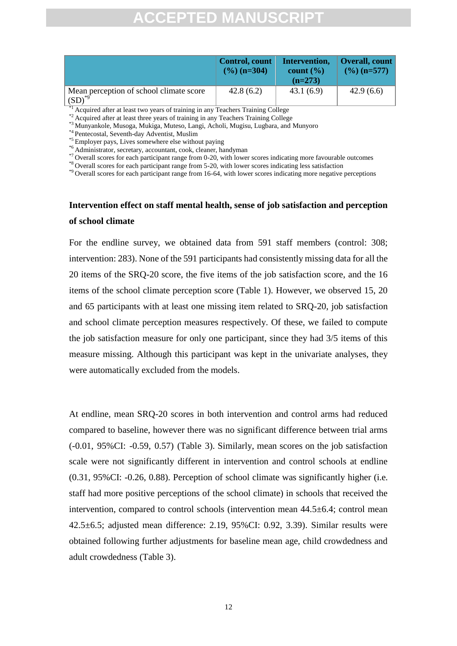|                                                           | Control, count<br>$(\frac{9}{6})$ (n=304) | Intervention,<br>count $\left(\frac{9}{6}\right)$<br>$(n=273)$ | Overall, count<br>$(\frac{9}{6})$ (n=577) |
|-----------------------------------------------------------|-------------------------------------------|----------------------------------------------------------------|-------------------------------------------|
| Mean perception of school climate score<br>$(SD)^{^{*0}}$ | 42.8(6.2)                                 | 43.1(6.9)                                                      | 42.9(6.6)                                 |

<sup>\*1</sup> Acquired after at least two years of training in any Teachers Training College

\*2 Acquired after at least three years of training in any Teachers Training College

\*3 Munyankole, Musoga, Mukiga, Muteso, Langi, Acholi, Mugisu, Lugbara, and Munyoro

\*4 Pentecostal, Seventh-day Adventist, Muslim

\*5 Employer pays, Lives somewhere else without paying

\*6 Administrator, secretary, accountant, cook, cleaner, handyman

\*7 Overall scores for each participant range from 0-20, with lower scores indicating more favourable outcomes

\*8 Overall scores for each participant range from 5-20, with lower scores indicating less satisfaction

\*9 Overall scores for each participant range from 16-64, with lower scores indicating more negative perceptions

### **Intervention effect on staff mental health, sense of job satisfaction and perception of school climate**

Constituted marging trom U-20, with lower scores indicating more throughouts<br>constract participant range from 5-20, with lower scores indicating more through<br>theorem for the participant range from 16-64, with lower scores For the endline survey, we obtained data from 591 staff members (control: 308; intervention: 283). None of the 591 participants had consistently missing data for all the 20 items of the SRQ-20 score, the five items of the job satisfaction score, and the 16 items of the school climate perception score (Table 1). However, we observed 15, 20 and 65 participants with at least one missing item related to SRQ-20, job satisfaction and school climate perception measures respectively. Of these, we failed to compute the job satisfaction measure for only one participant, since they had 3/5 items of this measure missing. Although this participant was kept in the univariate analyses, they were automatically excluded from the models.

At endline, mean SRQ-20 scores in both intervention and control arms had reduced compared to baseline, however there was no significant difference between trial arms (-0.01, 95%CI: -0.59, 0.57) (Table 3). Similarly, mean scores on the job satisfaction scale were not significantly different in intervention and control schools at endline (0.31, 95%CI: -0.26, 0.88). Perception of school climate was significantly higher (i.e. staff had more positive perceptions of the school climate) in schools that received the intervention, compared to control schools (intervention mean  $44.5\pm6.4$ ; control mean 42.5±6.5; adjusted mean difference: 2.19, 95%CI: 0.92, 3.39). Similar results were obtained following further adjustments for baseline mean age, child crowdedness and adult crowdedness (Table 3).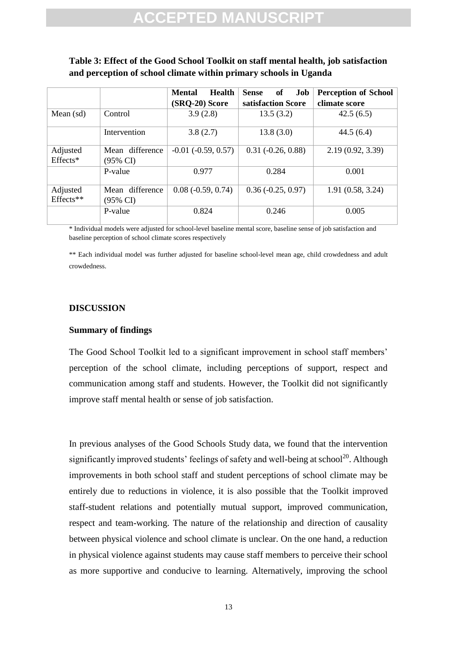### **Table 3: Effect of the Good School Toolkit on staff mental health, job satisfaction and perception of school climate within primary schools in Uganda**

|                                                                                                                                                                                                                                                                                                                                                                                                                                                        |                             | <b>Health</b><br><b>Mental</b> | <b>Sense</b><br>Job<br><b>of</b> | <b>Perception of School</b> |
|--------------------------------------------------------------------------------------------------------------------------------------------------------------------------------------------------------------------------------------------------------------------------------------------------------------------------------------------------------------------------------------------------------------------------------------------------------|-----------------------------|--------------------------------|----------------------------------|-----------------------------|
|                                                                                                                                                                                                                                                                                                                                                                                                                                                        |                             | (SRQ-20) Score                 | satisfaction Score               | climate score               |
| Mean (sd)                                                                                                                                                                                                                                                                                                                                                                                                                                              | Control                     | 3.9(2.8)                       | 13.5(3.2)                        | 42.5(6.5)                   |
|                                                                                                                                                                                                                                                                                                                                                                                                                                                        | Intervention                | 3.8(2.7)                       | 13.8(3.0)                        | 44.5(6.4)                   |
| Adjusted<br>Effects*                                                                                                                                                                                                                                                                                                                                                                                                                                   | Mean difference<br>(95% CI) | $-0.01$ $(-0.59, 0.57)$        | $0.31 (-0.26, 0.88)$             | 2.19 (0.92, 3.39)           |
|                                                                                                                                                                                                                                                                                                                                                                                                                                                        | P-value                     | 0.977                          | 0.284                            | 0.001                       |
| Adjusted<br>Effects**                                                                                                                                                                                                                                                                                                                                                                                                                                  | Mean difference<br>(95% CI) | $0.08$ ( $-0.59$ , $0.74$ )    | $0.36 (-0.25, 0.97)$             | 1.91 (0.58, 3.24)           |
|                                                                                                                                                                                                                                                                                                                                                                                                                                                        | P-value                     | 0.824                          | 0.246                            | 0.005                       |
| * Individual models were adjusted for school-level baseline mental score, baseline sense of job satisfaction and<br>baseline perception of school climate scores respectively<br>** Each individual model was further adjusted for baseline school-level mean age, child crowdedness and adult<br>crowdedness.<br><b>DISCUSSION</b><br><b>Summary of findings</b><br>The Good School Toolkit led to a significant improvement in school staff members' |                             |                                |                                  |                             |
| perception of the school climate, including perceptions of support, respect and<br>communication among staff and students. However, the Toolkit did not significantly                                                                                                                                                                                                                                                                                  |                             |                                |                                  |                             |
| improve staff mental health or sense of job satisfaction.<br>In previous analyses of the Good Schools Study data, we found that the intervention<br>significantly improved students' feelings of safety and well-being at school <sup>20</sup> . Although<br>improvements in both school staff and student perceptions of school climate may be                                                                                                        |                             |                                |                                  |                             |

### **DISCUSSION**

#### **Summary of findings**

In previous analyses of the Good Schools Study data, we found that the intervention significantly improved students' feelings of safety and well-being at school<sup>20</sup>. Although improvements in both school staff and student perceptions of school climate may be entirely due to reductions in violence, it is also possible that the Toolkit improved staff-student relations and potentially mutual support, improved communication, respect and team-working. The nature of the relationship and direction of causality between physical violence and school climate is unclear. On the one hand, a reduction in physical violence against students may cause staff members to perceive their school as more supportive and conducive to learning. Alternatively, improving the school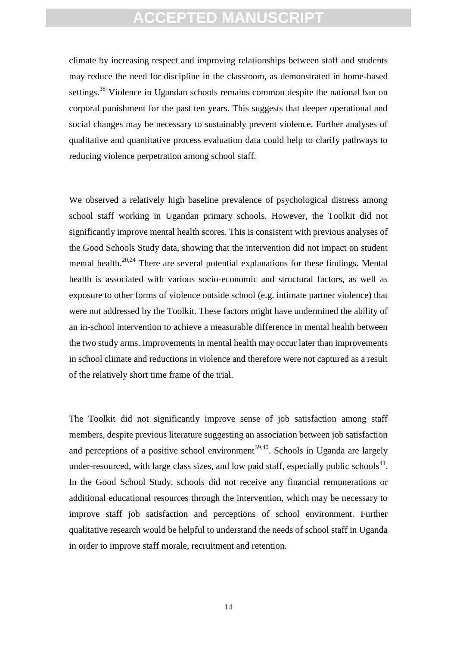climate by increasing respect and improving relationships between staff and students may reduce the need for discipline in the classroom, as demonstrated in home-based settings.<sup>38</sup> Violence in Ugandan schools remains common despite the national ban on corporal punishment for the past ten years. This suggests that deeper operational and social changes may be necessary to sustainably prevent violence. Further analyses of qualitative and quantitative process evaluation data could help to clarify pathways to reducing violence perpetration among school staff.

violence perpetration aniong school star).<br>
are a relatively high baseline prevalence of psychological dist<br>
taff working in Ugandan primary schools. However, the Tool<br>
mathy improve mental health scores. This is consiste We observed a relatively high baseline prevalence of psychological distress among school staff working in Ugandan primary schools. However, the Toolkit did not significantly improve mental health scores. This is consistent with previous analyses of the Good Schools Study data, showing that the intervention did not impact on student mental health.<sup>20,24</sup> There are several potential explanations for these findings. Mental health is associated with various socio-economic and structural factors, as well as exposure to other forms of violence outside school (e.g. intimate partner violence) that were not addressed by the Toolkit. These factors might have undermined the ability of an in-school intervention to achieve a measurable difference in mental health between the two study arms. Improvements in mental health may occur later than improvements in school climate and reductions in violence and therefore were not captured as a result of the relatively short time frame of the trial.

The Toolkit did not significantly improve sense of job satisfaction among staff members, despite previous literature suggesting an association between job satisfaction and perceptions of a positive school environment<sup>39,40</sup>. Schools in Uganda are largely under-resourced, with large class sizes, and low paid staff, especially public schools $41$ . In the Good School Study, schools did not receive any financial remunerations or additional educational resources through the intervention, which may be necessary to improve staff job satisfaction and perceptions of school environment. Further qualitative research would be helpful to understand the needs of school staff in Uganda in order to improve staff morale, recruitment and retention.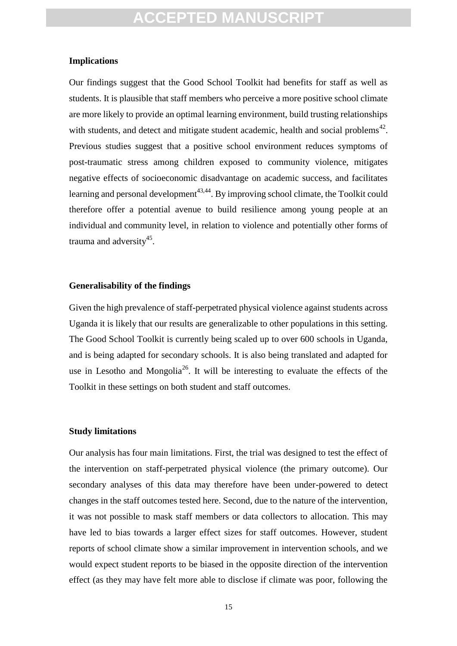#### **Implications**

matic stress among children exposed to community violence<br>effects of socioeconomic disadvantage on academic success, an<br>and personal development<sup>43,44</sup>. By improving school climate, the Te<br>offer a potential avenue to build Our findings suggest that the Good School Toolkit had benefits for staff as well as students. It is plausible that staff members who perceive a more positive school climate are more likely to provide an optimal learning environment, build trusting relationships with students, and detect and mitigate student academic, health and social problems<sup>42</sup>. Previous studies suggest that a positive school environment reduces symptoms of post-traumatic stress among children exposed to community violence, mitigates negative effects of socioeconomic disadvantage on academic success, and facilitates learning and personal development<sup> $43,44$ </sup>. By improving school climate, the Toolkit could therefore offer a potential avenue to build resilience among young people at an individual and community level, in relation to violence and potentially other forms of trauma and adversity<sup>45</sup>.

#### **Generalisability of the findings**

Given the high prevalence of staff-perpetrated physical violence against students across Uganda it is likely that our results are generalizable to other populations in this setting. The Good School Toolkit is currently being scaled up to over 600 schools in Uganda, and is being adapted for secondary schools. It is also being translated and adapted for use in Lesotho and Mongolia<sup>26</sup>. It will be interesting to evaluate the effects of the Toolkit in these settings on both student and staff outcomes.

#### **Study limitations**

Our analysis has four main limitations. First, the trial was designed to test the effect of the intervention on staff-perpetrated physical violence (the primary outcome). Our secondary analyses of this data may therefore have been under-powered to detect changes in the staff outcomes tested here. Second, due to the nature of the intervention, it was not possible to mask staff members or data collectors to allocation. This may have led to bias towards a larger effect sizes for staff outcomes. However, student reports of school climate show a similar improvement in intervention schools, and we would expect student reports to be biased in the opposite direction of the intervention effect (as they may have felt more able to disclose if climate was poor, following the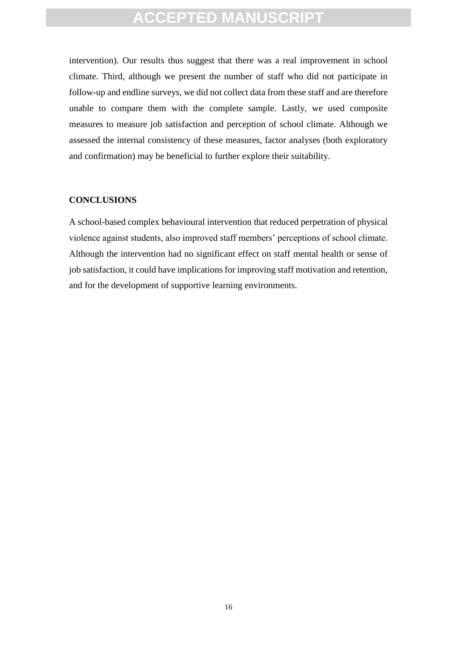intervention). Our results thus suggest that there was a real improvement in school climate. Third, although we present the number of staff who did not participate in follow-up and endline surveys, we did not collect data from these staff and are therefore unable to compare them with the complete sample. Lastly, we used composite measures to measure job satisfaction and perception of school climate. Although we assessed the internal consistency of these measures, factor analyses (both exploratory and confirmation) may be beneficial to further explore their suitability.

#### **CONCLUSIONS**

Inflation) hay be beneficial to funtile explore their sundomly.<br>
USIONS<br>
-based complex behavioural intervention that reduced perpetration<br>
against students, also improved staff members' perceptions of sche<br>
the interventi A school-based complex behavioural intervention that reduced perpetration of physical violence against students, also improved staff members' perceptions of school climate. Although the intervention had no significant effect on staff mental health or sense of job satisfaction, it could have implications for improving staff motivation and retention, and for the development of supportive learning environments.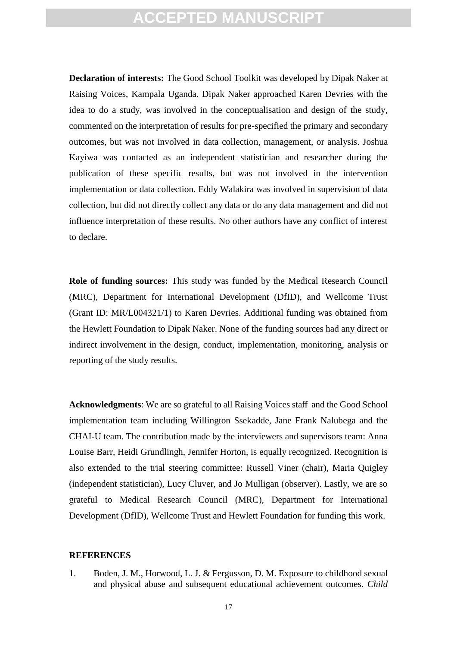**Declaration of interests:** The Good School Toolkit was developed by Dipak Naker at Raising Voices, Kampala Uganda. Dipak Naker approached Karen Devries with the idea to do a study, was involved in the conceptualisation and design of the study, commented on the interpretation of results for pre-specified the primary and secondary outcomes, but was not involved in data collection, management, or analysis. Joshua Kayiwa was contacted as an independent statistician and researcher during the publication of these specific results, but was not involved in the intervention implementation or data collection. Eddy Walakira was involved in supervision of data collection, but did not directly collect any data or do any data management and did not influence interpretation of these results. No other authors have any conflict of interest to declare.

was contacted as an independent statistician and researcher<br>on of these specific results, but was not involved in the i<br>intation or data collection. Eddy Walakira was involved in supervia,<br>n, but did not directly collect a **Role of funding sources:** This study was funded by the Medical Research Council (MRC), Department for International Development (DfID), and Wellcome Trust (Grant ID: MR/L004321/1) to Karen Devries. Additional funding was obtained from the Hewlett Foundation to Dipak Naker. None of the funding sources had any direct or indirect involvement in the design, conduct, implementation, monitoring, analysis or reporting of the study results.

**Acknowledgments**: We are so grateful to all Raising Voices staff and the Good School implementation team including Willington Ssekadde, Jane Frank Nalubega and the CHAI-U team. The contribution made by the interviewers and supervisors team: Anna Louise Barr, Heidi Grundlingh, Jennifer Horton, is equally recognized. Recognition is also extended to the trial steering committee: Russell Viner (chair), Maria Quigley (independent statistician), Lucy Cluver, and Jo Mulligan (observer). Lastly, we are so grateful to Medical Research Council (MRC), Department for International Development (DfID), Wellcome Trust and Hewlett Foundation for funding this work.

#### **REFERENCES**

1. Boden, J. M., Horwood, L. J. & Fergusson, D. M. Exposure to childhood sexual and physical abuse and subsequent educational achievement outcomes. *Child*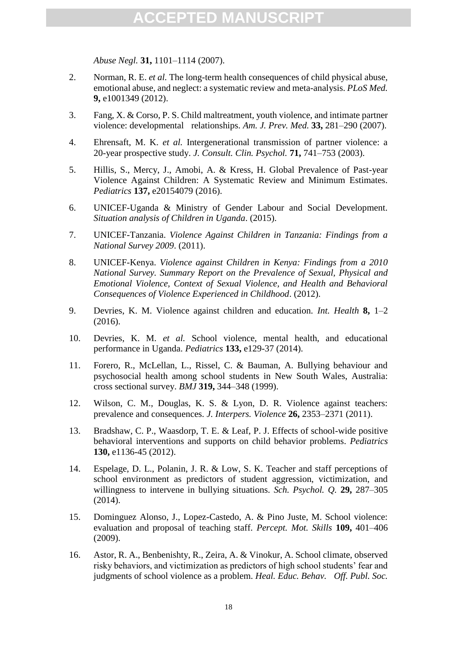*Abuse Negl.* **31,** 1101–1114 (2007).

- 2. Norman, R. E. *et al.* The long-term health consequences of child physical abuse, emotional abuse, and neglect: a systematic review and meta-analysis. *PLoS Med.* **9,** e1001349 (2012).
- 3. Fang, X. & Corso, P. S. Child maltreatment, youth violence, and intimate partner violence: developmental relationships. *Am. J. Prev. Med.* **33,** 281–290 (2007).
- 4. Ehrensaft, M. K. *et al.* Intergenerational transmission of partner violence: a 20-year prospective study. *J. Consult. Clin. Psychol.* **71,** 741–753 (2003).
- 5. Hillis, S., Mercy, J., Amobi, A. & Kress, H. Global Prevalence of Past-year Violence Against Children: A Systematic Review and Minimum Estimates. *Pediatrics* **137,** e20154079 (2016).
- 6. UNICEF-Uganda & Ministry of Gender Labour and Social Development. *Situation analysis of Children in Uganda*. (2015).
- 7. UNICEF-Tanzania. *Violence Against Children in Tanzania: Findings from a National Survey 2009*. (2011).
- illis, S., Mercy, J., Amobi, A. & Kress, H. Global Prevalence cololence Against Children: A Systematic Review and Minimum *ditatrics* 137, e20154079 (2016).<br>
NICEF-Uganda & Ministry of Gender Labour and Social Devation ana 8. UNICEF-Kenya. *Violence against Children in Kenya: Findings from a 2010 National Survey. Summary Report on the Prevalence of Sexual, Physical and Emotional Violence, Context of Sexual Violence, and Health and Behavioral Consequences of Violence Experienced in Childhood*. (2012).
- 9. Devries, K. M. Violence against children and education. *Int. Health* **8,** 1–2 (2016).
- 10. Devries, K. M. *et al.* School violence, mental health, and educational performance in Uganda. *Pediatrics* **133,** e129-37 (2014).
- 11. Forero, R., McLellan, L., Rissel, C. & Bauman, A. Bullying behaviour and psychosocial health among school students in New South Wales, Australia: cross sectional survey. *BMJ* **319,** 344–348 (1999).
- 12. Wilson, C. M., Douglas, K. S. & Lyon, D. R. Violence against teachers: prevalence and consequences. *J. Interpers. Violence* **26,** 2353–2371 (2011).
- 13. Bradshaw, C. P., Waasdorp, T. E. & Leaf, P. J. Effects of school-wide positive behavioral interventions and supports on child behavior problems. *Pediatrics* **130,** e1136-45 (2012).
- 14. Espelage, D. L., Polanin, J. R. & Low, S. K. Teacher and staff perceptions of school environment as predictors of student aggression, victimization, and willingness to intervene in bullying situations. *Sch. Psychol. Q.* **29,** 287–305 (2014).
- 15. Dominguez Alonso, J., Lopez-Castedo, A. & Pino Juste, M. School violence: evaluation and proposal of teaching staff. *Percept. Mot. Skills* **109,** 401–406 (2009).
- 16. Astor, R. A., Benbenishty, R., Zeira, A. & Vinokur, A. School climate, observed risky behaviors, and victimization as predictors of high school students' fear and judgments of school violence as a problem. *Heal. Educ. Behav. Off. Publ. Soc.*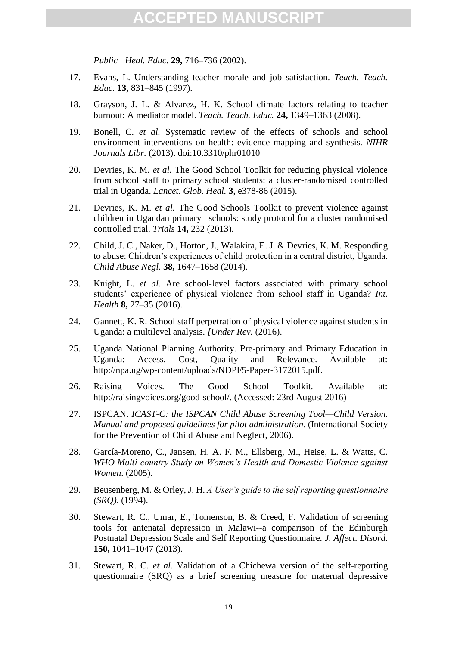*Public Heal. Educ.* **29,** 716–736 (2002).

- 17. Evans, L. Understanding teacher morale and job satisfaction. *Teach. Teach. Educ.* **13,** 831–845 (1997).
- 18. Grayson, J. L. & Alvarez, H. K. School climate factors relating to teacher burnout: A mediator model. *Teach. Teach. Educ.* **24,** 1349–1363 (2008).
- 19. Bonell, C. *et al.* Systematic review of the effects of schools and school environment interventions on health: evidence mapping and synthesis. *NIHR Journals Libr.* (2013). doi:10.3310/phr01010
- evries, K. M. *et al.* The Good School Toolkit for reducing physics<br>mom school staff to primary school School Toolkit for reducing physical<br>al in Uganda. *Lancet. Glob. Heal.* 3, e378-86 (2015).<br>wries, K. M. *et al.* The G 20. Devries, K. M. *et al.* The Good School Toolkit for reducing physical violence from school staff to primary school students: a cluster-randomised controlled trial in Uganda. *Lancet. Glob. Heal.* **3,** e378-86 (2015).
- 21. Devries, K. M. *et al.* The Good Schools Toolkit to prevent violence against children in Ugandan primary schools: study protocol for a cluster randomised controlled trial. *Trials* **14,** 232 (2013).
- 22. Child, J. C., Naker, D., Horton, J., Walakira, E. J. & Devries, K. M. Responding to abuse: Children's experiences of child protection in a central district, Uganda. *Child Abuse Negl.* **38,** 1647–1658 (2014).
- 23. Knight, L. *et al.* Are school-level factors associated with primary school students' experience of physical violence from school staff in Uganda? *Int. Health* **8,** 27–35 (2016).
- 24. Gannett, K. R. School staff perpetration of physical violence against students in Uganda: a multilevel analysis. *[Under Rev.* (2016).
- 25. Uganda National Planning Authority. Pre-primary and Primary Education in Uganda: Access, Cost, Quality and Relevance. Available at: http://npa.ug/wp-content/uploads/NDPF5-Paper-3172015.pdf.
- 26. Raising Voices. The Good School Toolkit. Available at: http://raisingvoices.org/good-school/. (Accessed: 23rd August 2016)
- 27. ISPCAN. *ICAST-C: the ISPCAN Child Abuse Screening Tool—Child Version. Manual and proposed guidelines for pilot administration*. (International Society for the Prevention of Child Abuse and Neglect, 2006).
- 28. García-Moreno, C., Jansen, H. A. F. M., Ellsberg, M., Heise, L. & Watts, C. *WHO Multi-country Study on Women's Health and Domestic Violence against Women*. (2005).
- 29. Beusenberg, M. & Orley, J. H. *A User's guide to the self reporting questionnaire (SRQ)*. (1994).
- 30. Stewart, R. C., Umar, E., Tomenson, B. & Creed, F. Validation of screening tools for antenatal depression in Malawi--a comparison of the Edinburgh Postnatal Depression Scale and Self Reporting Questionnaire. *J. Affect. Disord.* **150,** 1041–1047 (2013).
- 31. Stewart, R. C. *et al.* Validation of a Chichewa version of the self-reporting questionnaire (SRQ) as a brief screening measure for maternal depressive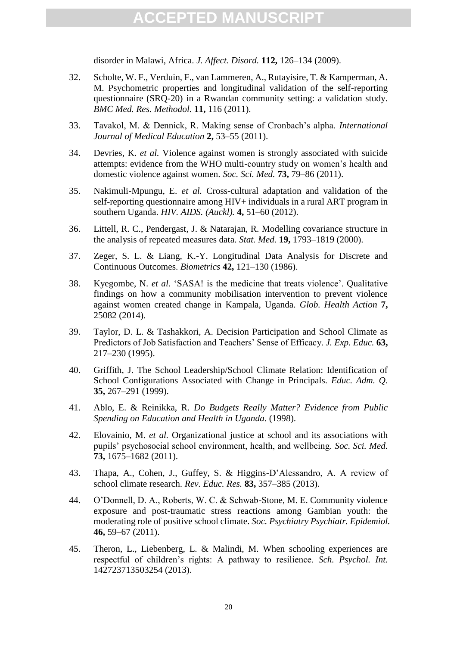disorder in Malawi, Africa. *J. Affect. Disord.* **112,** 126–134 (2009).

- 32. Scholte, W. F., Verduin, F., van Lammeren, A., Rutayisire, T. & Kamperman, A. M. Psychometric properties and longitudinal validation of the self-reporting questionnaire (SRQ-20) in a Rwandan community setting: a validation study. *BMC Med. Res. Methodol.* **11,** 116 (2011).
- 33. Tavakol, M. & Dennick, R. Making sense of Cronbach's alpha. *International Journal of Medical Education* **2,** 53–55 (2011).
- 34. Devries, K. *et al.* Violence against women is strongly associated with suicide attempts: evidence from the WHO multi-country study on women's health and domestic violence against women. *Soc. Sci. Med.* **73,** 79–86 (2011).
- 35. Nakimuli-Mpungu, E. *et al.* Cross-cultural adaptation and validation of the self-reporting questionnaire among HIV+ individuals in a rural ART program in southern Uganda. *HIV. AIDS. (Auckl).* **4,** 51–60 (2012).
- 36. Littell, R. C., Pendergast, J. & Natarajan, R. Modelling covariance structure in the analysis of repeated measures data. *Stat. Med.* **19,** 1793–1819 (2000).
- 37. Zeger, S. L. & Liang, K.-Y. Longitudinal Data Analysis for Discrete and Continuous Outcomes. *Biometrics* **42,** 121–130 (1986).
- tempts: evidence from the WHO multi-country study on women's<br>tempts: evidence from the WHO multi-country study on women's<br>mestic violence against women. *Soc. Sci. Med.* **73,** 79-86 (2011).<br>diff-reporting questionnaire amo 38. Kyegombe, N. *et al.* 'SASA! is the medicine that treats violence'. Qualitative findings on how a community mobilisation intervention to prevent violence against women created change in Kampala, Uganda. *Glob. Health Action* **7,** 25082 (2014).
- 39. Taylor, D. L. & Tashakkori, A. Decision Participation and School Climate as Predictors of Job Satisfaction and Teachers' Sense of Efficacy. *J. Exp. Educ.* **63,** 217–230 (1995).
- 40. Griffith, J. The School Leadership/School Climate Relation: Identification of School Configurations Associated with Change in Principals. *Educ. Adm. Q.*  **35,** 267–291 (1999).
- 41. Ablo, E. & Reinikka, R. *Do Budgets Really Matter? Evidence from Public Spending on Education and Health in Uganda*. (1998).
- 42. Elovainio, M. *et al.* Organizational justice at school and its associations with pupils' psychosocial school environment, health, and wellbeing. *Soc. Sci. Med.* **73,** 1675–1682 (2011).
- 43. Thapa, A., Cohen, J., Guffey, S. & Higgins-D'Alessandro, A. A review of school climate research. *Rev. Educ. Res.* **83,** 357–385 (2013).
- 44. O'Donnell, D. A., Roberts, W. C. & Schwab-Stone, M. E. Community violence exposure and post-traumatic stress reactions among Gambian youth: the moderating role of positive school climate. *Soc. Psychiatry Psychiatr. Epidemiol.* **46,** 59–67 (2011).
- 45. Theron, L., Liebenberg, L. & Malindi, M. When schooling experiences are respectful of children's rights: A pathway to resilience. *Sch. Psychol. Int.* 142723713503254 (2013).